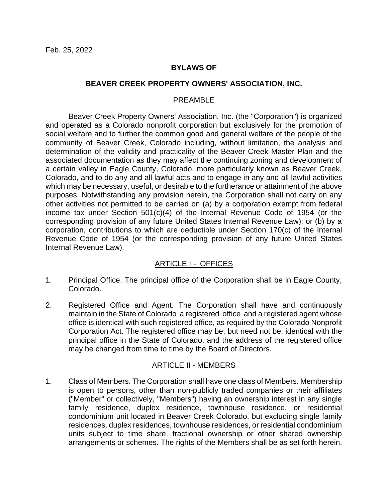#### **BYLAWS OF**

#### **BEAVER CREEK PROPERTY OWNERS' ASSOCIATION, INC.**

#### PREAMBLE

Beaver Creek Property Owners' Association, Inc. (the "Corporation") is organized and operated as a Colorado nonprofit corporation but exclusively for the promotion of social welfare and to further the common good and general welfare of the people of the community of Beaver Creek, Colorado including, without limitation, the analysis and determination of the validity and practicality of the Beaver Creek Master Plan and the associated documentation as they may affect the continuing zoning and development of a certain valley in Eagle County, Colorado, more particularly known as Beaver Creek, Colorado, and to do any and all lawful acts and to engage in any and all lawful activities which may be necessary, useful, or desirable to the furtherance or attainment of the above purposes. Notwithstanding any provision herein, the Corporation shall not carry on any other activities not permitted to be carried on (a) by a corporation exempt from federal income tax under Section 501(c)(4) of the Internal Revenue Code of 1954 (or the corresponding provision of any future United States Internal Revenue Law); or (b) by a corporation, contributions to which are deductible under Section 170(c) of the Internal Revenue Code of 1954 (or the corresponding provision of any future United States Internal Revenue Law).

### ARTICLE I - OFFICES

- 1. Principal Office. The principal office of the Corporation shall be in Eagle County, Colorado.
- 2. Registered Office and Agent. The Corporation shall have and continuously maintain in the State of Colorado a registered office and a registered agent whose office is identical with such registered office, as required by the Colorado Nonprofit Corporation Act. The registered office may be, but need not be; identical with the principal office in the State of Colorado, and the address of the registered office may be changed from time to time by the Board of Directors.

### ARTICLE II - MEMBERS

1. Class of Members. The Corporation shall have one class of Members. Membership is open to persons, other than non-publicly traded companies or their affiliates ("Member" or collectively, "Members") having an ownership interest in any single family residence, duplex residence, townhouse residence, or residential condominium unit located in Beaver Creek Colorado, but excluding single family residences, duplex residences, townhouse residences, or residential condominium units subject to time share, fractional ownership or other shared ownership arrangements or schemes. The rights of the Members shall be as set forth herein.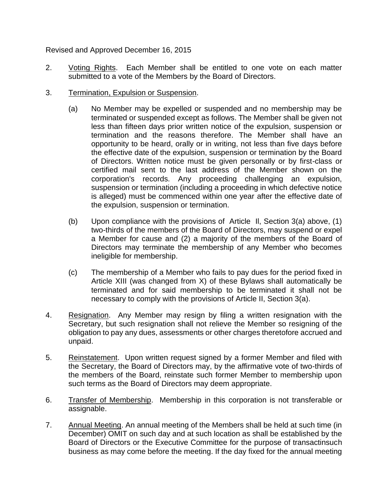Revised and Approved December 16, 2015

- 2. Voting Rights. Each Member shall be entitled to one vote on each matter submitted to a vote of the Members by the Board of Directors.
- 3. Termination, Expulsion or Suspension.
	- (a) No Member may be expelled or suspended and no membership may be terminated or suspended except as follows. The Member shall be given not less than fifteen days prior written notice of the expulsion, suspension or termination and the reasons therefore. The Member shall have an opportunity to be heard, orally or in writing, not less than five days before the effective date of the expulsion, suspension or termination by the Board of Directors. Written notice must be given personally or by first-class or certified mail sent to the last address of the Member shown on the corporation's records. Any proceeding challenging an expulsion, suspension or termination (including a proceeding in which defective notice is alleged) must be commenced within one year after the effective date of the expulsion, suspension or termination.
	- (b) Upon compliance with the provisions of Article Il, Section 3(a) above, (1) two-thirds of the members of the Board of Directors, may suspend or expel a Member for cause and (2) a majority of the members of the Board of Directors may terminate the membership of any Member who becomes ineligible for membership.
	- (c) The membership of a Member who fails to pay dues for the period fixed in Article XIII (was changed from X) of these Bylaws shall automatically be terminated and for said membership to be terminated it shall not be necessary to comply with the provisions of Article II, Section 3(a).
- 4. Resignation. Any Member may resign by filing a written resignation with the Secretary, but such resignation shall not relieve the Member so resigning of the obligation to pay any dues, assessments or other charges theretofore accrued and unpaid.
- 5. Reinstatement. Upon written request signed by a former Member and filed with the Secretary, the Board of Directors may, by the affirmative vote of two-thirds of the members of the Board, reinstate such former Member to membership upon such terms as the Board of Directors may deem appropriate.
- 6. Transfer of Membership. Membership in this corporation is not transferable or assignable.
- 7. Annual Meeting. An annual meeting of the Members shall be held at such time (in December) OMIT on such day and at such location as shall be established by the Board of Directors or the Executive Committee for the purpose of transactinsuch business as may come before the meeting. If the day fixed for the annual meeting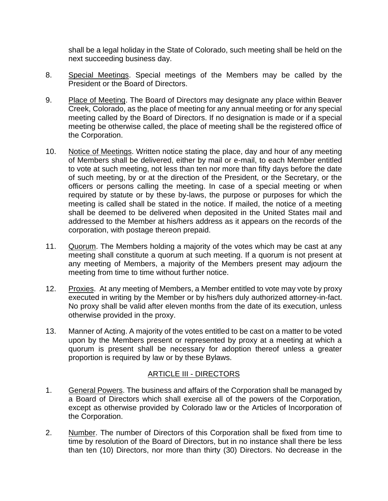shall be a legal holiday in the State of Colorado, such meeting shall be held on the next succeeding business day.

- 8. Special Meetings. Special meetings of the Members may be called by the President or the Board of Directors.
- 9. Place of Meeting. The Board of Directors may designate any place within Beaver Creek, Colorado, as the place of meeting for any annual meeting or for any special meeting called by the Board of Directors. If no designation is made or if a special meeting be otherwise called, the place of meeting shall be the registered office of the Corporation.
- 10. Notice of Meetings. Written notice stating the place, day and hour of any meeting of Members shall be delivered, either by mail or e-mail, to each Member entitled to vote at such meeting, not less than ten nor more than fifty days before the date of such meeting, by or at the direction of the President, or the Secretary, or the officers or persons calling the meeting. In case of a special meeting or when required by statute or by these by-laws, the purpose or purposes for which the meeting is called shall be stated in the notice. If mailed, the notice of a meeting shall be deemed to be delivered when deposited in the United States mail and addressed to the Member at his/hers address as it appears on the records of the corporation, with postage thereon prepaid.
- 11. Quorum. The Members holding a majority of the votes which may be cast at any meeting shall constitute a quorum at such meeting. If a quorum is not present at any meeting of Members, a majority of the Members present may adjourn the meeting from time to time without further notice.
- 12. Proxies. At any meeting of Members, a Member entitled to vote may vote by proxy executed in writing by the Member or by his/hers duly authorized attorney-in-fact. No proxy shall be valid after eleven months from the date of its execution, unless otherwise provided in the proxy.
- 13. Manner of Acting. A majority of the votes entitled to be cast on a matter to be voted upon by the Members present or represented by proxy at a meeting at which a quorum is present shall be necessary for adoption thereof unless a greater proportion is required by law or by these Bylaws.

### ARTICLE III - DIRECTORS

- 1. General Powers. The business and affairs of the Corporation shall be managed by a Board of Directors which shall exercise all of the powers of the Corporation, except as otherwise provided by Colorado law or the Articles of Incorporation of the Corporation.
- 2. Number. The number of Directors of this Corporation shall be fixed from time to time by resolution of the Board of Directors, but in no instance shall there be less than ten (10) Directors, nor more than thirty (30) Directors. No decrease in the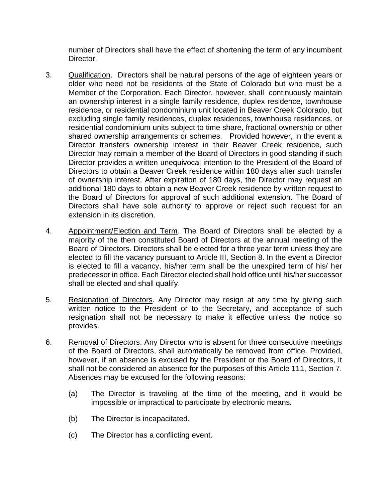number of Directors shall have the effect of shortening the term of any incumbent Director.

- 3. Qualification. Directors shall be natural persons of the age of eighteen years or older who need not be residents of the State of Colorado but who must be a Member of the Corporation. Each Director, however, shall continuously maintain an ownership interest in a single family residence, duplex residence, townhouse residence, or residential condominium unit located in Beaver Creek Colorado, but excluding single family residences, duplex residences, townhouse residences, or residential condominium units subject to time share, fractional ownership or other shared ownership arrangements or schemes. Provided however, in the event a Director transfers ownership interest in their Beaver Creek residence, such Director may remain a member of the Board of Directors in good standing if such Director provides a written unequivocal intention to the President of the Board of Directors to obtain a Beaver Creek residence within 180 days after such transfer of ownership interest. After expiration of 180 days, the Director may request an additional 180 days to obtain a new Beaver Creek residence by written request to the Board of Directors for approval of such additional extension. The Board of Directors shall have sole authority to approve or reject such request for an extension in its discretion.
- 4. Appointment/Election and Term. The Board of Directors shall be elected by a majority of the then constituted Board of Directors at the annual meeting of the Board of Directors. Directors shall be elected for a three year term unless they are elected to fill the vacancy pursuant to Article III, Section 8. In the event a Director is elected to fill a vacancy, his/her term shall be the unexpired term of his/ her predecessor in office. Each Director elected shall hold office until his/her successor shall be elected and shall qualify.
- 5. Resignation of Directors. Any Director may resign at any time by giving such written notice to the President or to the Secretary, and acceptance of such resignation shall not be necessary to make it effective unless the notice so provides.
- 6. Removal of Directors. Any Director who is absent for three consecutive meetings of the Board of Directors, shall automatically be removed from office. Provided, however, if an absence is excused by the President or the Board of Directors, it shall not be considered an absence for the purposes of this Article 111, Section 7. Absences may be excused for the following reasons:
	- (a) The Director is traveling at the time of the meeting, and it would be impossible or impractical to participate by electronic means.
	- (b) The Director is incapacitated.
	- (c) The Director has a conflicting event.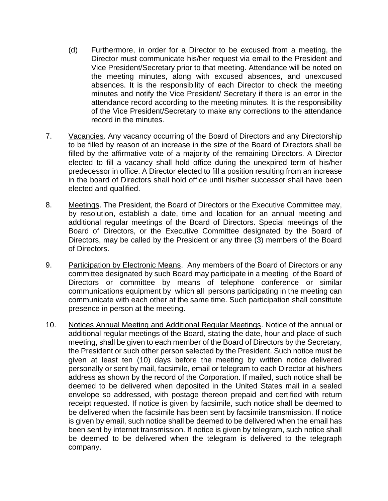- (d) Furthermore, in order for a Director to be excused from a meeting, the Director must communicate his/her request via email to the President and Vice President/Secretary prior to that meeting. Attendance will be noted on the meeting minutes, along with excused absences, and unexcused absences. It is the responsibility of each Director to check the meeting minutes and notify the Vice President/ Secretary if there is an error in the attendance record according to the meeting minutes. It is the responsibility of the Vice President/Secretary to make any corrections to the attendance record in the minutes.
- 7. Vacancies. Any vacancy occurring of the Board of Directors and any Directorship to be filled by reason of an increase in the size of the Board of Directors shall be filled by the affirmative vote of a majority of the remaining Directors. A Director elected to fill a vacancy shall hold office during the unexpired term of his/her predecessor in office. A Director elected to fill a position resulting from an increase in the board of Directors shall hold office until his/her successor shall have been elected and qualified.
- 8. Meetings. The President, the Board of Directors or the Executive Committee may, by resolution, establish a date, time and location for an annual meeting and additional regular meetings of the Board of Directors. Special meetings of the Board of Directors, or the Executive Committee designated by the Board of Directors, may be called by the President or any three (3) members of the Board of Directors.
- 9. Participation by Electronic Means. Any members of the Board of Directors or any committee designated by such Board may participate in a meeting of the Board of Directors or committee by means of telephone conference or similar communications equipment by which all persons participating in the meeting can communicate with each other at the same time. Such participation shall constitute presence in person at the meeting.
- 10. Notices Annual Meeting and Additional Regular Meetings. Notice of the annual or additional regular meetings of the Board, stating the date, hour and place of such meeting, shall be given to each member of the Board of Directors by the Secretary, the President or such other person selected by the President. Such notice must be given at least ten (10) days before the meeting by written notice delivered personally or sent by mail, facsimile, email or telegram to each Director at his/hers address as shown by the record of the Corporation. If mailed, such notice shall be deemed to be delivered when deposited in the United States mail in a sealed envelope so addressed, with postage thereon prepaid and certified with return receipt requested. If notice is given by facsimile, such notice shall be deemed to be delivered when the facsimile has been sent by facsimile transmission. If notice is given by email, such notice shall be deemed to be delivered when the email has been sent by internet transmission. If notice is given by telegram, such notice shall be deemed to be delivered when the telegram is delivered to the telegraph company.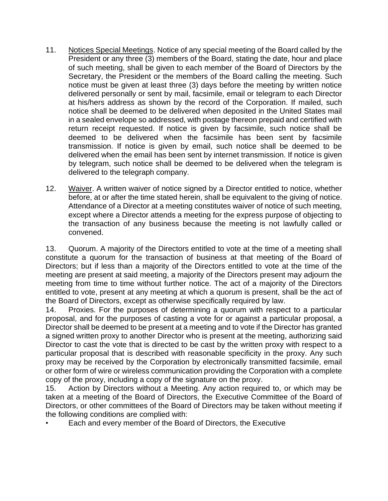- 11. Notices Special Meetings. Notice of any special meeting of the Board called by the President or any three (3) members of the Board, stating the date, hour and place of such meeting, shall be given to each member of the Board of Directors by the Secretary, the President or the members of the Board calling the meeting. Such notice must be given at least three (3) days before the meeting by written notice delivered personally or sent by mail, facsimile, email or telegram to each Director at his/hers address as shown by the record of the Corporation. If mailed, such notice shall be deemed to be delivered when deposited in the United States mail in a sealed envelope so addressed, with postage thereon prepaid and certified with return receipt requested. If notice is given by facsimile, such notice shall be deemed to be delivered when the facsimile has been sent by facsimile transmission. If notice is given by email, such notice shall be deemed to be delivered when the email has been sent by internet transmission. If notice is given by telegram, such notice shall be deemed to be delivered when the telegram is delivered to the telegraph company.
- 12. Waiver. A written waiver of notice signed by a Director entitled to notice, whether before, at or after the time stated herein, shall be equivalent to the giving of notice. Attendance of a Director at a meeting constitutes waiver of notice of such meeting, except where a Director attends a meeting for the express purpose of objecting to the transaction of any business because the meeting is not lawfully called or convened.

13. Quorum. A majority of the Directors entitled to vote at the time of a meeting shall constitute a quorum for the transaction of business at that meeting of the Board of Directors; but if less than a majority of the Directors entitled to vote at the time of the meeting are present at said meeting, a majority of the Directors present may adjourn the meeting from time to time without further notice. The act of a majority of the Directors entitled to vote, present at any meeting at which a quorum is present, shall be the act of the Board of Directors, except as otherwise specifically required by law.

14. Proxies. For the purposes of determining a quorum with respect to a particular proposal, and for the purposes of casting a vote for or against a particular proposal, a Director shall be deemed to be present at a meeting and to vote if the Director has granted a signed written proxy to another Director who is present at the meeting, authorizing said Director to cast the vote that is directed to be cast by the written proxy with respect to a particular proposal that is described with reasonable specificity in the proxy. Any such proxy may be received by the Corporation by electronically transmitted facsimile, email or other form of wire or wireless communication providing the Corporation with a complete copy of the proxy, including a copy of the signature on the proxy.

15. Action by Directors without a Meeting. Any action required to, or which may be taken at a meeting of the Board of Directors, the Executive Committee of the Board of Directors, or other committees of the Board of Directors may be taken without meeting if the following conditions are complied with:

Each and every member of the Board of Directors, the Executive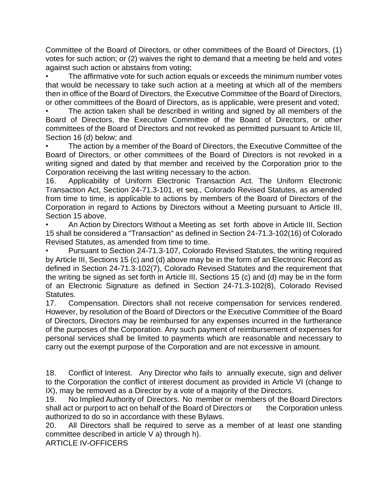Committee of the Board of Directors, or other committees of the Board of Directors, (1) votes for such action; or (2) waives the right to demand that a meeting be held and votes against such action or abstains from voting;

The affirmative vote for such action equals or exceeds the minimum number votes that would be necessary to take such action at a meeting at which all of the members then in office of the Board of Directors, the Executive Committee of the Board of Directors, or other committees of the Board of Directors, as is applicable, were present and voted;

The action taken shall be described in writing and signed by all members of the Board of Directors, the Executive Committee of the Board of Directors, or other committees of the Board of Directors and not revoked as permitted pursuant to Article III, Section 16 (d) below; and

The action by a member of the Board of Directors, the Executive Committee of the Board of Directors, or other committees of the Board of Directors is not revoked in a writing signed and dated by that member and received by the Corporation prior to the Corporation receiving the last writing necessary to the action.

16. Applicability of Uniform Electronic Transaction Act. The Uniform Electronic Transaction Act, Section 24-71.3-101, et seq., Colorado Revised Statutes, as amended from time to time, is applicable to actions by members of the Board of Directors of the Corporation in regard to Actions by Directors without a Meeting pursuant to Article III, Section 15 above.

• An Action by Directors Without a Meeting as set forth above in Article III, Section 15 shall be considered a "Transaction" as defined in Section 24-71.3-102(16) of Colorado Revised Statutes, as amended from time to time.

• Pursuant to Section 24-71.3-107, Colorado Revised Statutes, the writing required by Article III, Sections 15 (c) and (d) above may be in the form of an Electronic Record as defined in Section 24-71.3-102(7), Colorado Revised Statutes and the requirement that the writing be signed as set forth in Article III, Sections 15 (c) and (d) may be in the form of an Electronic Signature as defined in Section 24-71.3-102(8), Colorado Revised Statutes.

17. Compensation. Directors shall not receive compensation for services rendered. However, by resolution of the Board of Directors or the Executive Committee of the Board of Directors, Directors may be reimbursed for any expenses incurred in the furtherance of the purposes of the Corporation. Any such payment of reimbursement of expenses for personal services shall be limited to payments which are reasonable and necessary to carry out the exempt purpose of the Corporation and are not excessive in amount.

18. Conflict of Interest. Any Director who fails to annually execute, sign and deliver to the Corporation the conflict of interest document as provided in Article VI (change to IX), may be removed as a Director by a vote of a majority of the Directors.

19. No Implied Authority of Directors. No member or members of the Board Directors shall act or purport to act on behalf of the Board of Directors or the Corporation unless authorized to do so in accordance with these Bylaws.

20. All Directors shall be required to serve as a member of at least one standing committee described in article V a) through h).

ARTICLE IV-OFFICERS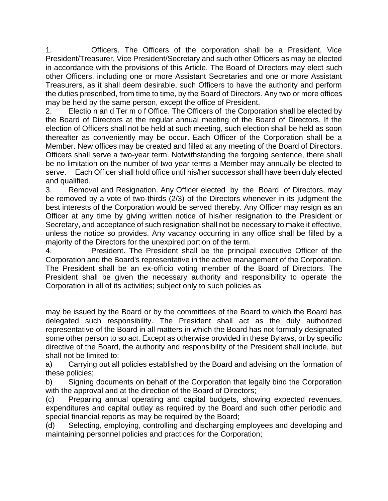1. Officers. The Officers of the corporation shall be a President, Vice President/Treasurer, Vice President/Secretary and such other Officers as may be elected in accordance with the provisions of this Article. The Board of Directors may elect such other Officers, including one or more Assistant Secretaries and one or more Assistant Treasurers, as it shall deem desirable, such Officers to have the authority and perform the duties prescribed, from time to time, by the Board of Directors. Any two or more offices may be held by the same person, except the office of President.

2. Electio n an d Ter m o f Office. The Officers of the Corporation shall be elected by the Board of Directors at the regular annual meeting of the Board of Directors. If the election of Officers shall not be held at such meeting, such election shall be held as soon thereafter as conveniently may be occur. Each Officer of the Corporation shall be a Member. New offices may be created and filled at any meeting of the Board of Directors. Officers shall serve a two-year term. Notwithstanding the forgoing sentence, there shall be no limitation on the number of two year terms a Member may annually be elected to serve. Each Officer shall hold office until his/her successor shall have been duly elected and qualified.

3. Removal and Resignation. Any Officer elected by the Board of Directors, may be removed by a vote of two-thirds (2/3) of the Directors whenever in its judgment the best interests of the Corporation would be served thereby. Any Officer may resign as an Officer at any time by giving written notice of his/her resignation to the President or Secretary, and acceptance of such resignation shall not be necessary to make it effective, unless the notice so provides. Any vacancy occurring in any office shall be filled by a majority of the Directors for the unexpired portion of the term.

4. President. The President shall be the principal executive Officer of the Corporation and the Board's representative in the active management of the Corporation. The President shall be an ex-officio voting member of the Board of Directors. The President shall be given the necessary authority and responsibility to operate the Corporation in all of its activities; subject only to such policies as

may be issued by the Board or by the committees of the Board to which the Board has delegated such responsibility. The President shall act as the duly authorized representative of the Board in all matters in which the Board has not formally designated some other person to so act. Except as otherwise provided in these Bylaws, or by specific directive of the Board, the authority and responsibility of the President shall include, but shall not be limited to:

a) Carrying out all policies established by the Board and advising on the formation of these policies;

b) Signing documents on behalf of the Corporation that legally bind the Corporation with the approval and at the direction of the Board of Directors;

(c) Preparing annual operating and capital budgets, showing expected revenues, expenditures and capital outlay as required by the Board and such other periodic and special financial reports as may be required by the Board;

(d) Selecting, employing, controlling and discharging employees and developing and maintaining personnel policies and practices for the Corporation;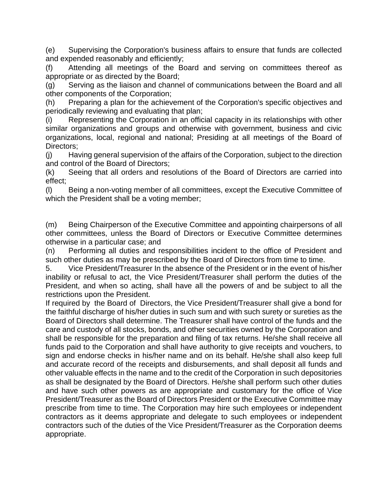(e) Supervising the Corporation's business affairs to ensure that funds are collected and expended reasonably and efficiently;

(f) Attending all meetings of the Board and serving on committees thereof as appropriate or as directed by the Board;

(g) Serving as the liaison and channel of communications between the Board and all other components of the Corporation;

(h) Preparing a plan for the achievement of the Corporation's specific objectives and periodically reviewing and evaluating that plan;

(i) Representing the Corporation in an official capacity in its relationships with other similar organizations and groups and otherwise with government, business and civic organizations, local, regional and national; Presiding at all meetings of the Board of Directors;

(j) Having general supervision of the affairs of the Corporation, subject to the direction and control of the Board of Directors;

(k) Seeing that all orders and resolutions of the Board of Directors are carried into effect;

(l) Being a non-voting member of all committees, except the Executive Committee of which the President shall be a voting member;

(m) Being Chairperson of the Executive Committee and appointing chairpersons of all other committees, unless the Board of Directors or Executive Committee determines otherwise in a particular case; and

(n) Performing all duties and responsibilities incident to the office of President and such other duties as may be prescribed by the Board of Directors from time to time.

5. Vice President/Treasurer In the absence of the President or in the event of his/her inability or refusal to act, the Vice President/Treasurer shall perform the duties of the President, and when so acting, shall have all the powers of and be subject to all the restrictions upon the President.

If required by the Board of Directors, the Vice President/Treasurer shall give a bond for the faithful discharge of his/her duties in such sum and with such surety or sureties as the Board of Directors shall determine. The Treasurer shall have control of the funds and the care and custody of all stocks, bonds, and other securities owned by the Corporation and shall be responsible for the preparation and filing of tax returns. He/she shall receive all funds paid to the Corporation and shall have authority to give receipts and vouchers, to sign and endorse checks in his/her name and on its behalf. He/she shall also keep full and accurate record of the receipts and disbursements, and shall deposit all funds and other valuable effects in the name and to the credit of the Corporation in such depositories as shall be designated by the Board of Directors. He/she shall perform such other duties and have such other powers as are appropriate and customary for the office of Vice President/Treasurer as the Board of Directors President or the Executive Committee may prescribe from time to time. The Corporation may hire such employees or independent contractors as it deems appropriate and delegate to such employees or independent contractors such of the duties of the Vice President/Treasurer as the Corporation deems appropriate.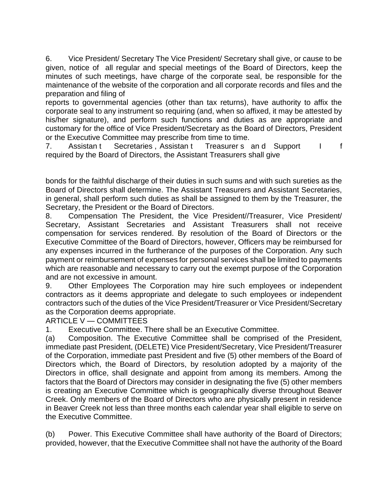6. Vice President/ Secretary The Vice President/ Secretary shall give, or cause to be given, notice of all regular and special meetings of the Board of Directors, keep the minutes of such meetings, have charge of the corporate seal, be responsible for the maintenance of the website of the corporation and all corporate records and files and the preparation and filing of

reports to governmental agencies (other than tax returns), have authority to affix the corporate seal to any instrument so requiring (and, when so affixed, it may be attested by his/her signature), and perform such functions and duties as are appropriate and customary for the office of Vice President/Secretary as the Board of Directors, President or the Executive Committee may prescribe from time to time.

7. Assistan t Secretaries, Assistan t Treasurer s and Support I f required by the Board of Directors, the Assistant Treasurers shall give

bonds for the faithful discharge of their duties in such sums and with such sureties as the Board of Directors shall determine. The Assistant Treasurers and Assistant Secretaries, in general, shall perform such duties as shall be assigned to them by the Treasurer, the Secretary, the President or the Board of Directors.

8. Compensation The President, the Vice President//Treasurer, Vice President/ Secretary, Assistant Secretaries and Assistant Treasurers shall not receive compensation for services rendered. By resolution of the Board of Directors or the Executive Committee of the Board of Directors, however, Officers may be reimbursed for any expenses incurred in the furtherance of the purposes of the Corporation. Any such payment or reimbursement of expenses for personal services shall be limited to payments which are reasonable and necessary to carry out the exempt purpose of the Corporation and are not excessive in amount.

9. Other Employees The Corporation may hire such employees or independent contractors as it deems appropriate and delegate to such employees or independent contractors such of the duties of the Vice President/Treasurer or Vice President/Secretary as the Corporation deems appropriate.

ARTICLE V — COMMITTEES

1. Executive Committee. There shall be an Executive Committee.

(a) Composition. The Executive Committee shall be comprised of the President, immediate past President, (DELETE) Vice President/Secretary, Vice President/Treasurer of the Corporation, immediate past President and five (5) other members of the Board of Directors which, the Board of Directors, by resolution adopted by a majority of the Directors in office, shall designate and appoint from among its members. Among the factors that the Board of Directors may consider in designating the five (5) other members is creating an Executive Committee which is geographically diverse throughout Beaver Creek. Only members of the Board of Directors who are physically present in residence in Beaver Creek not less than three months each calendar year shall eligible to serve on the Executive Committee.

(b) Power. This Executive Committee shall have authority of the Board of Directors; provided, however, that the Executive Committee shall not have the authority of the Board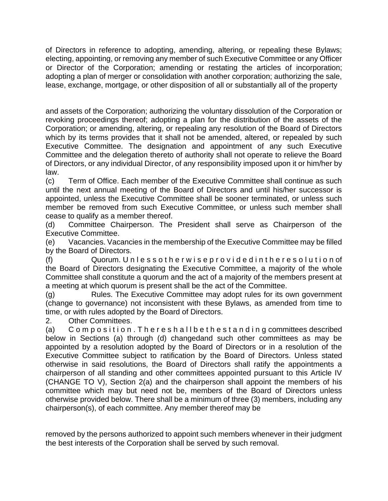of Directors in reference to adopting, amending, altering, or repealing these Bylaws; electing, appointing, or removing any member of such Executive Committee or any Officer or Director of the Corporation; amending or restating the articles of incorporation; adopting a plan of merger or consolidation with another corporation; authorizing the sale, lease, exchange, mortgage, or other disposition of all or substantially all of the property

and assets of the Corporation; authorizing the voluntary dissolution of the Corporation or revoking proceedings thereof; adopting a plan for the distribution of the assets of the Corporation; or amending, altering, or repealing any resolution of the Board of Directors which by its terms provides that it shall not be amended, altered, or repealed by such Executive Committee. The designation and appointment of any such Executive Committee and the delegation thereto of authority shall not operate to relieve the Board of Directors, or any individual Director, of any responsibility imposed upon it or him/her by law.

(c) Term of Office. Each member of the Executive Committee shall continue as such until the next annual meeting of the Board of Directors and until his/her successor is appointed, unless the Executive Committee shall be sooner terminated, or unless such member be removed from such Executive Committee, or unless such member shall cease to qualify as a member thereof.

(d) Committee Chairperson. The President shall serve as Chairperson of the Executive Committee.

(e) Vacancies. Vacancies in the membership of the Executive Committee may be filled by the Board of Directors.

(f) Quorum. U n l e s s o t h e r w i s e p r o v i d e d i n t h e r e s o l u t i o n of the Board of Directors designating the Executive Committee, a majority of the whole Committee shall constitute a quorum and the act of a majority of the members present at a meeting at which quorum is present shall be the act of the Committee.

(g) Rules. The Executive Committee may adopt rules for its own government (change to governance) not inconsistent with these Bylaws, as amended from time to time, or with rules adopted by the Board of Directors.

2. Other Committees.

(a) C o m p o sition. The reshall be the standing committees described below in Sections (a) through (d) changedand such other committees as may be appointed by a resolution adopted by the Board of Directors or in a resolution of the Executive Committee subject to ratification by the Board of Directors. Unless stated otherwise in said resolutions, the Board of Directors shall ratify the appointments a chairperson of all standing and other committees appointed pursuant to this Article IV (CHANGE TO V), Section 2(a) and the chairperson shall appoint the members of his committee which may but need not be, members of the Board of Directors unless otherwise provided below. There shall be a minimum of three (3) members, including any chairperson(s), of each committee. Any member thereof may be

removed by the persons authorized to appoint such members whenever in their judgment the best interests of the Corporation shall be served by such removal.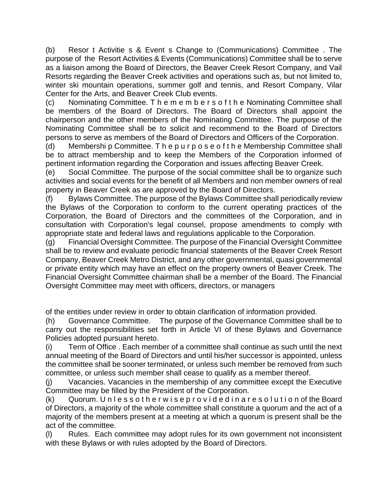(b) Resor t Activitie s & Event s Change to (Communications) Committee . The purpose of the Resort Activities & Events (Communications) Committee shall be to serve as a liaison among the Board of Directors, the Beaver Creek Resort Company, and Vail Resorts regarding the Beaver Creek activities and operations such as, but not limited to, winter ski mountain operations, summer golf and tennis, and Resort Company, Vilar Center for the Arts, and Beaver Creek Club events.

(c) Nominating Committee. T h e m e m b e r s o f t h e Nominating Committee shall be members of the Board of Directors. The Board of Directors shall appoint the chairperson and the other members of the Nominating Committee. The purpose of the Nominating Committee shall be to solicit and recommend to the Board of Directors persons to serve as members of the Board of Directors and Officers of the Corporation.

(d) Membershi p Committee. T h e p u r p o s e o f t h e Membership Committee shall be to attract membership and to keep the Members of the Corporation informed of pertinent information regarding the Corporation and issues affecting Beaver Creek.

(e) Social Committee. The purpose of the social committee shall be to organize such activities and social events for the benefit of all Members and non member owners of real property in Beaver Creek as are approved by the Board of Directors.

(f) Bylaws Committee. The purpose of the Bylaws Committee shall periodically review the Bylaws of the Corporation to conform to the current operating practices of the Corporation, the Board of Directors and the committees of the Corporation, and in consultation with Corporation's legal counsel, propose amendments to comply with appropriate state and federal laws and regulations applicable to the Corporation.

(g) Financial Oversight Committee. The purpose of the Financial Oversight Committee shall be to review and evaluate periodic financial statements of the Beaver Creek Resort Company, Beaver Creek Metro District, and any other governmental, quasi governmental or private entity which may have an effect on the property owners of Beaver Creek. The Financial Oversight Committee chairman shall be a member of the Board. The Financial Oversight Committee may meet with officers, directors, or managers

of the entities under review in order to obtain clarification of information provided.

(h) Governance Committee. The purpose of the Governance Committee shall be to carry out the responsibilities set forth in Article VI of these Bylaws and Governance Policies adopted pursuant hereto.

(i) Term of Office . Each member of a committee shall continue as such until the next annual meeting of the Board of Directors and until his/her successor is appointed, unless the committee shall be sooner terminated, or unless such member be removed from such committee, or unless such member shall cease to qualify as a member thereof.

(j) Vacancies. Vacancies in the membership of any committee except the Executive Committee may be filled by the President of the Corporation.

(k) Quorum. U n l e s s o t h e r w i s e p r o v i d e d i n a r e s o l u t i o n of the Board of Directors, a majority of the whole committee shall constitute a quorum and the act of a majority of the members present at a meeting at which a quorum is present shall be the act of the committee.

(l) Rules. Each committee may adopt rules for its own government not inconsistent with these Bylaws or with rules adopted by the Board of Directors.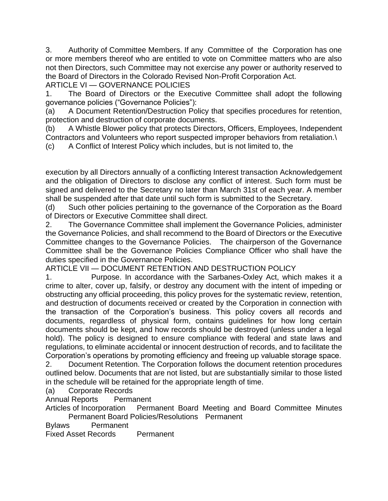3. Authority of Committee Members. If any Committee of the Corporation has one or more members thereof who are entitled to vote on Committee matters who are also not then Directors, such Committee may not exercise any power or authority reserved to the Board of Directors in the Colorado Revised Non-Profit Corporation Act.

ARTICLE VI — GOVERNANCE POLICIES

1. The Board of Directors or the Executive Committee shall adopt the following governance policies ("Governance Policies"):

(a) A Document Retention/Destruction Policy that specifies procedures for retention, protection and destruction of corporate documents.

(b) A Whistle Blower policy that protects Directors, Officers, Employees, Independent Contractors and Volunteers who report suspected improper behaviors from retaliation.\

(c) A Conflict of Interest Policy which includes, but is not limited to, the

execution by all Directors annually of a conflicting Interest transaction Acknowledgement and the obligation of Directors to disclose any conflict of interest. Such form must be signed and delivered to the Secretary no later than March 31st of each year. A member shall be suspended after that date until such form is submitted to the Secretary.

(d) Such other policies pertaining to the governance of the Corporation as the Board of Directors or Executive Committee shall direct.

2. The Governance Committee shall implement the Governance Policies, administer the Governance Policies, and shall recommend to the Board of Directors or the Executive Committee changes to the Governance Policies. The chairperson of the Governance Committee shall be the Governance Policies Compliance Officer who shall have the duties specified in the Governance Policies.

ARTICLE VII — DOCUMENT RETENTION AND DESTRUCTION POLICY

1. Purpose. In accordance with the Sarbanes-Oxley Act, which makes it a crime to alter, cover up, falsify, or destroy any document with the intent of impeding or obstructing any official proceeding, this policy proves for the systematic review, retention, and destruction of documents received or created by the Corporation in connection with the transaction of the Corporation's business. This policy covers all records and documents, regardless of physical form, contains guidelines for how long certain documents should be kept, and how records should be destroyed (unless under a legal hold). The policy is designed to ensure compliance with federal and state laws and regulations, to eliminate accidental or innocent destruction of records, and to facilitate the Corporation's operations by promoting efficiency and freeing up valuable storage space.

2. Document Retention. The Corporation follows the document retention procedures outlined below. Documents that are not listed, but are substantially similar to those listed in the schedule will be retained for the appropriate length of time.

## (a) Corporate Records

Annual Reports Permanent

Articles of Incorporation Permanent Board Meeting and Board Committee Minutes Permanent Board Policies/Resolutions Permanent

Bylaws Permanent

Fixed Asset Records Permanent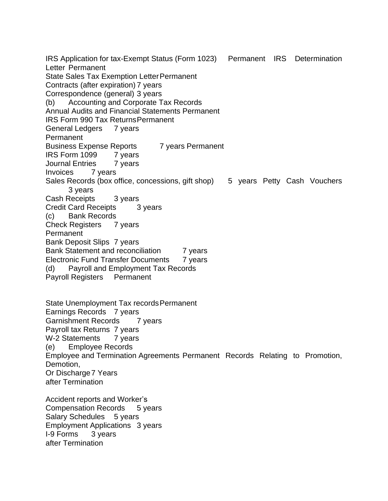IRS Application for tax-Exempt Status (Form 1023) Permanent IRS Determination Letter Permanent State Sales Tax Exemption Letter Permanent Contracts (after expiration) 7 years Correspondence (general) 3 years (b) Accounting and Corporate Tax Records Annual Audits and Financial Statements Permanent IRS Form 990 Tax ReturnsPermanent General Ledgers 7 years Permanent Business Expense Reports 7 years Permanent IRS Form 1099 7 years Journal Entries 7 years Invoices 7 years Sales Records (box office, concessions, gift shop) 5 years Petty Cash Vouchers 3 years Cash Receipts 3 years Credit Card Receipts 3 years (c) Bank Records Check Registers 7 years Permanent Bank Deposit Slips 7 years Bank Statement and reconciliation 7 years Electronic Fund Transfer Documents 7 years (d) Payroll and Employment Tax Records Payroll Registers Permanent State Unemployment Tax recordsPermanent Earnings Records 7 years Garnishment Records 7 years Payroll tax Returns 7 years W-2 Statements 7 years (e) Employee Records Employee and Termination Agreements Permanent Records Relating to Promotion, Demotion, Or Discharge7 Years after Termination Accident reports and Worker's Compensation Records 5 years Salary Schedules 5 years

Employment Applications 3 years

I-9 Forms 3 years

after Termination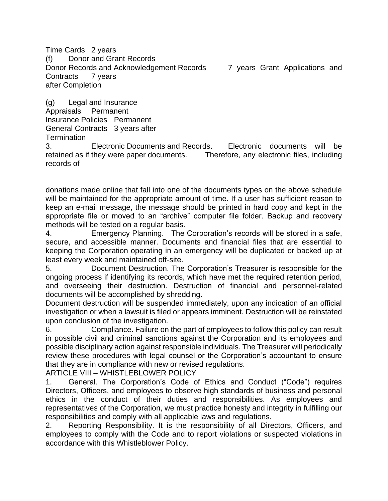Time Cards 2 years (f) Donor and Grant Records Donor Records and Acknowledgement Records 7 years Grant Applications and Contracts 7 years after Completion

(g) Legal and Insurance Appraisals Permanent Insurance Policies Permanent General Contracts 3 years after **Termination** 3. Electronic Documents and Records. Electronic documents will be

retained as if they were paper documents. Therefore, any electronic files, including records of

donations made online that fall into one of the documents types on the above schedule will be maintained for the appropriate amount of time. If a user has sufficient reason to keep an e-mail message, the message should be printed in hard copy and kept in the appropriate file or moved to an "archive" computer file folder. Backup and recovery methods will be tested on a regular basis.

4. Emergency Planning. The Corporation's records will be stored in a safe, secure, and accessible manner. Documents and financial files that are essential to keeping the Corporation operating in an emergency will be duplicated or backed up at least every week and maintained off-site.

5. Document Destruction. The Corporation's Treasurer is responsible for the ongoing process if identifying its records, which have met the required retention period, and overseeing their destruction. Destruction of financial and personnel-related documents will be accomplished by shredding.

Document destruction will be suspended immediately, upon any indication of an official investigation or when a lawsuit is filed or appears imminent. Destruction will be reinstated upon conclusion of the investigation.

6. Compliance. Failure on the part of employees to follow this policy can result in possible civil and criminal sanctions against the Corporation and its employees and possible disciplinary action against responsible individuals. The Treasurer will periodically review these procedures with legal counsel or the Corporation's accountant to ensure that they are in compliance with new or revised regulations.

ARTICLE VIII – WHISTLEBLOWER POLICY

1. General. The Corporation's Code of Ethics and Conduct ("Code") requires Directors, Officers, and employees to observe high standards of business and personal ethics in the conduct of their duties and responsibilities. As employees and representatives of the Corporation, we must practice honesty and integrity in fulfilling our responsibilities and comply with all applicable laws and regulations.

2. Reporting Responsibility. It is the responsibility of all Directors, Officers, and employees to comply with the Code and to report violations or suspected violations in accordance with this Whistleblower Policy.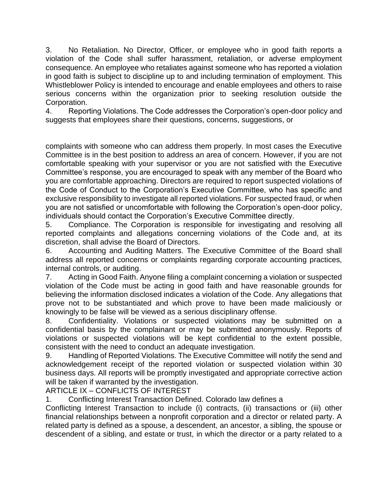3. No Retaliation. No Director, Officer, or employee who in good faith reports a violation of the Code shall suffer harassment, retaliation, or adverse employment consequence. An employee who retaliates against someone who has reported a violation in good faith is subject to discipline up to and including termination of employment. This Whistleblower Policy is intended to encourage and enable employees and others to raise serious concerns within the organization prior to seeking resolution outside the Corporation.

4. Reporting Violations. The Code addresses the Corporation's open-door policy and suggests that employees share their questions, concerns, suggestions, or

complaints with someone who can address them properly. In most cases the Executive Committee is in the best position to address an area of concern. However, if you are not comfortable speaking with your supervisor or you are not satisfied with the Executive Committee's response, you are encouraged to speak with any member of the Board who you are comfortable approaching. Directors are required to report suspected violations of the Code of Conduct to the Corporation's Executive Committee, who has specific and exclusive responsibility to investigate all reported violations. For suspected fraud, or when you are not satisfied or uncomfortable with following the Corporation's open-door policy, individuals should contact the Corporation's Executive Committee directly.

5. Compliance. The Corporation is responsible for investigating and resolving all reported complaints and allegations concerning violations of the Code and, at its discretion, shall advise the Board of Directors.

6. Accounting and Auditing Matters. The Executive Committee of the Board shall address all reported concerns or complaints regarding corporate accounting practices, internal controls, or auditing.

7. Acting in Good Faith. Anyone filing a complaint concerning a violation or suspected violation of the Code must be acting in good faith and have reasonable grounds for believing the information disclosed indicates a violation of the Code. Any allegations that prove not to be substantiated and which prove to have been made maliciously or knowingly to be false will be viewed as a serious disciplinary offense.

8. Confidentiality. Violations or suspected violations may be submitted on a confidential basis by the complainant or may be submitted anonymously. Reports of violations or suspected violations will be kept confidential to the extent possible, consistent with the need to conduct an adequate investigation.

9. Handling of Reported Violations. The Executive Committee will notify the send and acknowledgement receipt of the reported violation or suspected violation within 30 business days. All reports will be promptly investigated and appropriate corrective action will be taken if warranted by the investigation.

ARTICLE IX – CONFLICTS OF INTEREST

1. Conflicting Interest Transaction Defined. Colorado law defines a

Conflicting Interest Transaction to include (i) contracts, (ii) transactions or (iii) other financial relationships between a nonprofit corporation and a director or related party. A related party is defined as a spouse, a descendent, an ancestor, a sibling, the spouse or descendent of a sibling, and estate or trust, in which the director or a party related to a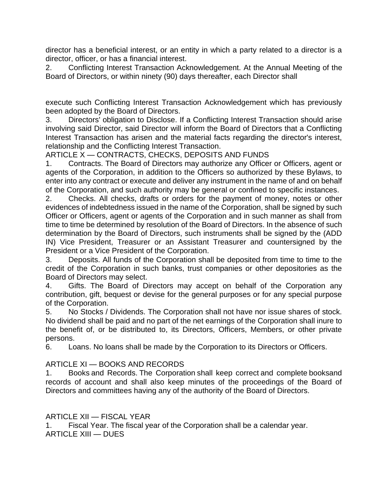director has a beneficial interest, or an entity in which a party related to a director is a director, officer, or has a financial interest.

2. Conflicting Interest Transaction Acknowledgement. At the Annual Meeting of the Board of Directors, or within ninety (90) days thereafter, each Director shall

execute such Conflicting Interest Transaction Acknowledgement which has previously been adopted by the Board of Directors.

3. Directors' obligation to Disclose. If a Conflicting Interest Transaction should arise involving said Director, said Director will inform the Board of Directors that a Conflicting Interest Transaction has arisen and the material facts regarding the director's interest, relationship and the Conflicting Interest Transaction.

ARTICLE X — CONTRACTS, CHECKS, DEPOSITS AND FUNDS

1. Contracts. The Board of Directors may authorize any Officer or Officers, agent or agents of the Corporation, in addition to the Officers so authorized by these Bylaws, to enter into any contract or execute and deliver any instrument in the name of and on behalf of the Corporation, and such authority may be general or confined to specific instances.

2. Checks. All checks, drafts or orders for the payment of money, notes or other evidences of indebtedness issued in the name of the Corporation, shall be signed by such Officer or Officers, agent or agents of the Corporation and in such manner as shall from time to time be determined by resolution of the Board of Directors. In the absence of such determination by the Board of Directors, such instruments shall be signed by the (ADD IN) Vice President, Treasurer or an Assistant Treasurer and countersigned by the President or a Vice President of the Corporation.

3. Deposits. All funds of the Corporation shall be deposited from time to time to the credit of the Corporation in such banks, trust companies or other depositories as the Board of Directors may select.

4. Gifts. The Board of Directors may accept on behalf of the Corporation any contribution, gift, bequest or devise for the general purposes or for any special purpose of the Corporation.

5. No Stocks / Dividends. The Corporation shall not have nor issue shares of stock. No dividend shall be paid and no part of the net earnings of the Corporation shall inure to the benefit of, or be distributed to, its Directors, Officers, Members, or other private persons.

6. Loans. No loans shall be made by the Corporation to its Directors or Officers.

## ARTICLE XI — BOOKS AND RECORDS

1. Books and Records. The Corporation shall keep correct and complete booksand records of account and shall also keep minutes of the proceedings of the Board of Directors and committees having any of the authority of the Board of Directors.

ARTICLE XII — FISCAL YEAR 1. Fiscal Year. The fiscal year of the Corporation shall be a calendar year. ARTICLE XIII — DUES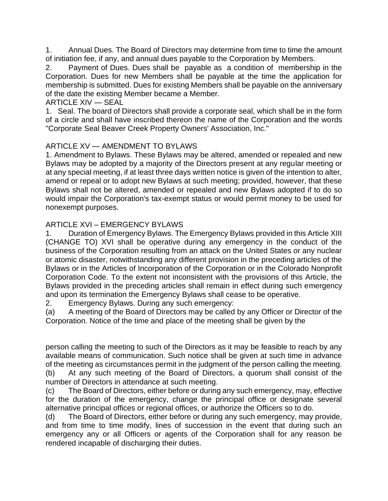1. Annual Dues. The Board of Directors may determine from time to time the amount of initiation fee, if any, and annual dues payable to the Corporation by Members.

2. Payment of Dues. Dues shall be payable as a condition of membership in the Corporation. Dues for new Members shall be payable at the time the application for membership is submitted. Dues for existing Members shall be payable on the anniversary of the date the existing Member became a Member.

ARTICLE XIV — SEAL

1. Seal. The board of Directors shall provide a corporate seal, which shall be in the form of a circle and shall have inscribed thereon the name of the Corporation and the words "Corporate Seal Beaver Creek Property Owners' Association, Inc."

# ARTICLE XV — AMENDMENT TO BYLAWS

1. Amendment to Bylaws. These Bylaws may be altered, amended or repealed and new Bylaws may be adopted by a majority of the Directors present at any regular meeting or at any special meeting, if at least three days written notice is given of the intention to alter, amend or repeal or to adopt new Bylaws at such meeting; provided, however, that these Bylaws shall not be altered, amended or repealed and new Bylaws adopted if to do so would impair the Corporation's tax-exempt status or would permit money to be used for nonexempt purposes.

# ARTICLE XVI – EMERGENCY BYLAWS

1. Duration of Emergency Bylaws. The Emergency Bylaws provided in this Article XIII (CHANGE TO) XVI shall be operative during any emergency in the conduct of the business of the Corporation resulting from an attack on the United States or any nuclear or atomic disaster, notwithstanding any different provision in the preceding articles of the Bylaws or in the Articles of Incorporation of the Corporation or in the Colorado Nonprofit Corporation Code. To the extent not inconsistent with the provisions of this Article, the Bylaws provided in the preceding articles shall remain in effect during such emergency and upon its termination the Emergency Bylaws shall cease to be operative.

2. Emergency Bylaws. During any such emergency:

(a) A meeting of the Board of Directors may be called by any Officer or Director of the Corporation. Notice of the time and place of the meeting shall be given by the

person calling the meeting to such of the Directors as it may be feasible to reach by any available means of communication. Such notice shall be given at such time in advance of the meeting as circumstances permit in the judgment of the person calling the meeting. (b) At any such meeting of the Board of Directors, a quorum shall consist of the number of Directors in attendance at such meeting.

(c) The Board of Directors, either before or during any such emergency, may, effective for the duration of the emergency, change the principal office or designate several alternative principal offices or regional offices, or authorize the Officers so to do.

(d) The Board of Directors, either before or during any such emergency, may provide, and from time to time modify, lines of succession in the event that during such an emergency any or all Officers or agents of the Corporation shall for any reason be rendered incapable of discharging their duties.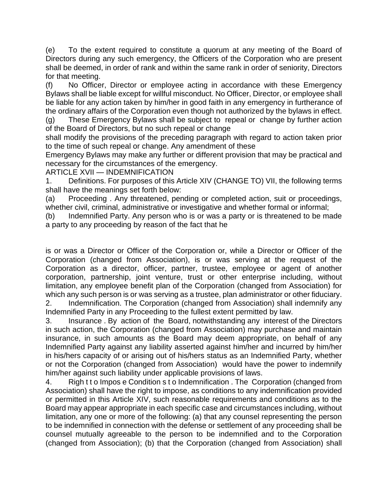(e) To the extent required to constitute a quorum at any meeting of the Board of Directors during any such emergency, the Officers of the Corporation who are present shall be deemed, in order of rank and within the same rank in order of seniority, Directors for that meeting.

(f) No Officer, Director or employee acting in accordance with these Emergency Bylaws shall be liable except for willful misconduct. No Officer, Director, or employee shall be liable for any action taken by him/her in good faith in any emergency in furtherance of the ordinary affairs of the Corporation even though not authorized by the bylaws in effect.

(g) These Emergency Bylaws shall be subject to repeal or change by further action of the Board of Directors, but no such repeal or change

shall modify the provisions of the preceding paragraph with regard to action taken prior to the time of such repeal or change. Any amendment of these

Emergency Bylaws may make any further or different provision that may be practical and necessary for the circumstances of the emergency.

### ARTICLE XVII — INDEMNIFICATION

1. Definitions. For purposes of this Article XIV (CHANGE TO) VII, the following terms shall have the meanings set forth below:

(a) Proceeding . Any threatened, pending or completed action, suit or proceedings, whether civil, criminal, administrative or investigative and whether formal or informal;

(b) Indemnified Party. Any person who is or was a party or is threatened to be made a party to any proceeding by reason of the fact that he

is or was a Director or Officer of the Corporation or, while a Director or Officer of the Corporation (changed from Association), is or was serving at the request of the Corporation as a director, officer, partner, trustee, employee or agent of another corporation, partnership, joint venture, trust or other enterprise including, without limitation, any employee benefit plan of the Corporation (changed from Association) for which any such person is or was serving as a trustee, plan administrator or other fiduciary.

2. Indemnification. The Corporation (changed from Association) shall indemnify any Indemnified Party in any Proceeding to the fullest extent permitted by law.

3. Insurance . By action of the Board, notwithstanding any interest of the Directors in such action, the Corporation (changed from Association) may purchase and maintain insurance, in such amounts as the Board may deem appropriate, on behalf of any Indemnified Party against any liability asserted against him/her and incurred by him/her in his/hers capacity of or arising out of his/hers status as an Indemnified Party, whether or not the Corporation (changed from Association) would have the power to indemnify him/her against such liability under applicable provisions of laws.

4. Righ t t o Impos e Condition s t o Indemnification . The Corporation (changed from Association) shall have the right to impose, as conditions to any indemnification provided or permitted in this Article XIV, such reasonable requirements and conditions as to the Board may appear appropriate in each specific case and circumstances including, without limitation, any one or more of the following: (a) that any counsel representing the person to be indemnified in connection with the defense or settlement of any proceeding shall be counsel mutually agreeable to the person to be indemnified and to the Corporation (changed from Association); (b) that the Corporation (changed from Association) shall